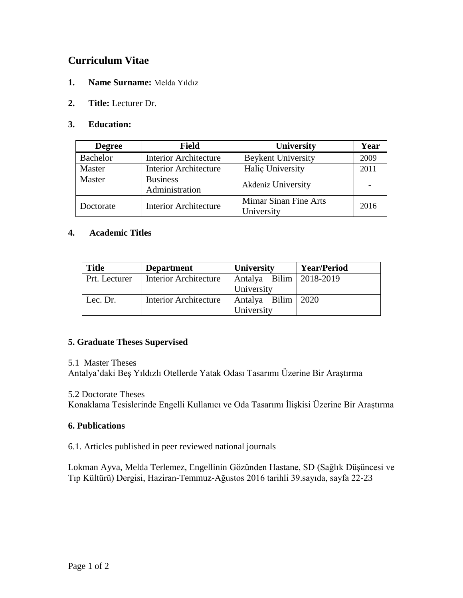# **Curriculum Vitae**

- **1. Name Surname:** Melda Yıldız
- **2. Title:** Lecturer Dr.

## **3. Education:**

| <b>Degree</b>   | <b>Field</b>                      | <b>University</b>                   | Year |
|-----------------|-----------------------------------|-------------------------------------|------|
| <b>Bachelor</b> | <b>Interior Architecture</b>      | <b>Beykent University</b>           | 2009 |
| Master          | <b>Interior Architecture</b>      | Halic University                    | 2011 |
| Master          | <b>Business</b><br>Administration | Akdeniz University                  |      |
| Doctorate       | <b>Interior Architecture</b>      | Mimar Sinan Fine Arts<br>University | 2016 |

## **4. Academic Titles**

| <b>Title</b>  | <b>Department</b>            | <b>University</b>         | <b>Year/Period</b> |  |
|---------------|------------------------------|---------------------------|--------------------|--|
| Prt. Lecturer | <b>Interior Architecture</b> | Antalya Bilim   2018-2019 |                    |  |
|               |                              | University                |                    |  |
| Lec. Dr.      | <b>Interior Architecture</b> | Antalya Bilim   2020      |                    |  |
|               |                              | University                |                    |  |

## **5. Graduate Theses Supervised**

#### 5.1 Master Theses

Antalya'daki Beş Yıldızlı Otellerde Yatak Odası Tasarımı Üzerine Bir Araştırma

#### 5.2 Doctorate Theses

Konaklama Tesislerinde Engelli Kullanıcı ve Oda Tasarımı İlişkisi Üzerine Bir Araştırma

## **6. Publications**

6.1. Articles published in peer reviewed national journals

Lokman Ayva, Melda Terlemez, Engellinin Gözünden Hastane, SD (Sağlık Düşüncesi ve Tıp Kültürü) Dergisi, Haziran-Temmuz-Ağustos 2016 tarihli 39.sayıda, sayfa 22-23